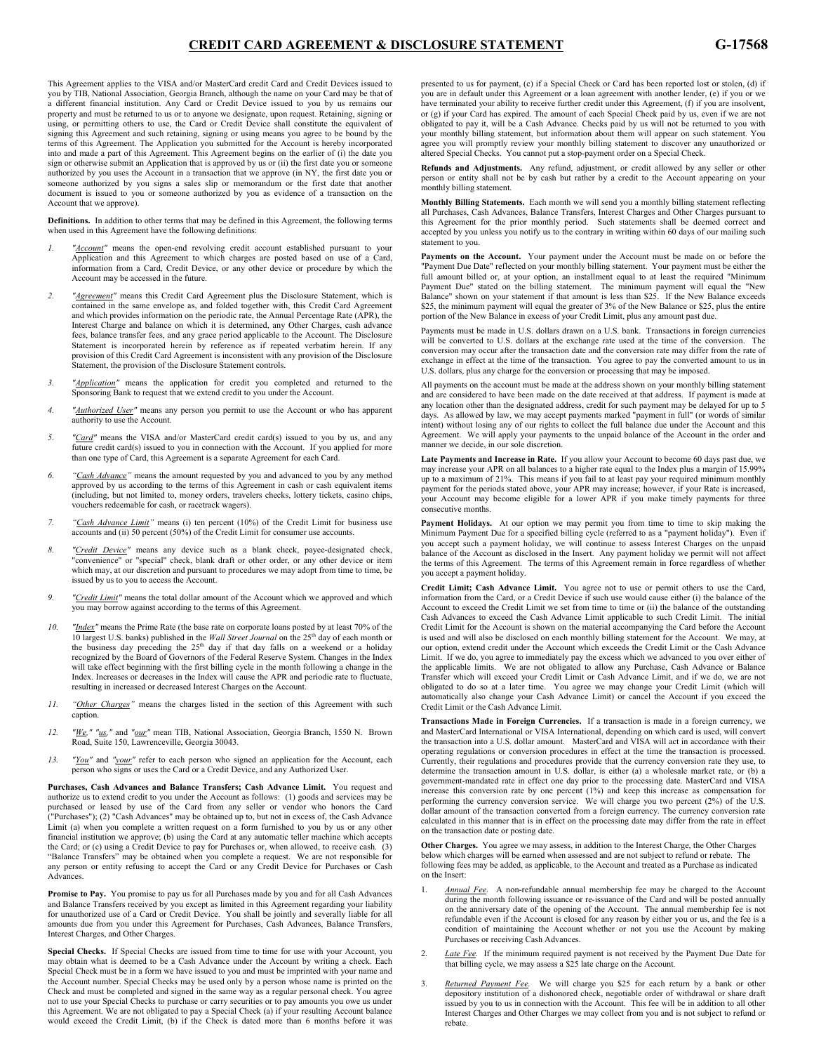This Agreement applies to the VISA and/or MasterCard credit Card and Credit Devices issued to you by TIB, National Association, Georgia Branch, although the name on your Card may be that of a different financial institution. Any Card or Credit Device issued to you by us remains our property and must be returned to us or to anyone we designate, upon request. Retaining, signing or property and mast of retained to as or to any one we designate, apon requesti retaining, signing or using, or permitting others to use, the Card or Credit Device shall constitute the equivalent of signing this Agreement and such retaining, signing or using means you agree to be bound by the terms of this Agreement. The Application you submitted for the Account is hereby incorporated into and made a part of this Agreement. This Agreement begins on the earlier of (i) the date you sign or otherwise submit an Application that is approved by us or (ii) the first date you or someone authorized by you uses the Account in a transaction that we approve (in NY, the first date you or someone authorized by you signs a sales slip or memorandum or the first date that another document is issued to you or someone authorized by you as evidence of a transaction on the Account that we approve).

**Definitions.** In addition to other terms that may be defined in this Agreement, the following terms when used in this Agreement have the following definitions:

- "*Account"* means the open-end revolving credit account established pursuant to your Application and this Agreement to which charges are posted based on use of a Card, information from a Card, Credit Device, or any other device or procedure by which the Account may be accessed in the future.
- *2. "Agreement"* means this Credit Card Agreement plus the Disclosure Statement, which is contained in the same envelope as, and folded together with, this Credit Card Agreement and which provides information on the periodic rate, the Annual Percentage Rate (APR), the Interest Charge and balance on which it is determined, any Other Charges, cash advance fees, balance transfer fees, and any grace period applicable to the Account. The Disclosure Statement is incorporated herein by reference as if repeated verbatim herein. If any provision of this Credit Card Agreement is inconsistent with any provision of the Disclosure Statement, the provision of the Disclosure Statement controls.
- *3. "Application"* means the application for credit you completed and returned to the Sponsoring Bank to request that we extend credit to you under the Account.
- *4. "Authorized User"* means any person you permit to use the Account or who has apparent authority to use the Account.
- *5. "Card"* means the VISA and/or MasterCard credit card(s) issued to you by us, and any future credit card(s) issued to you in connection with the Account. If you applied for more than one type of Card, this Agreement is a separate Agreement for each Card.
- *6. "Cash Advance"* means the amount requested by you and advanced to you by any method approved by us according to the terms of this Agreement in cash or cash equivalent items (including, but not limited to, money orders, travelers checks, lottery tickets, casino chips, vouchers redeemable for cash, or racetrack wagers).
- *7. "Cash Advance Limit"* means (i) ten percent (10%) of the Credit Limit for business use accounts and (ii) 50 percent (50%) of the Credit Limit for consumer use accounts.
- *8. "Credit Device"* means any device such as a blank check, payee-designated check, "convenience" or "special" check, blank draft or other order, or any other device or item which may, at our discretion and pursuant to procedures we may adopt from time to time, be issued by us to you to access the Account.
- *9. "Credit Limit"* means the total dollar amount of the Account which we approved and which you may borrow against according to the terms of this Agreement.
- *10. "Index"* means the Prime Rate (the base rate on corporate loans posted by at least 70% of the 10 largest U.S. banks) published in the *Wall Street Journal* on the 25<sup>th</sup> day of each month or the business day preceding the  $25<sup>th</sup>$  day if that day falls on a weekend or a holiday recognized by the Board of Govern will take effect beginning with the first billing cycle in the month following a change in the Index. Increases or decreases in the Index will cause the APR and periodic rate to fluctuate, resulting in increased or decreased Interest Charges on the Account.
- *11. "Other Charges"* means the charges listed in the section of this Agreement with such caption.
- *12. "We," "us,"* and *"our"* mean TIB, National Association, Georgia Branch, 1550 N. Brown Road, Suite 150, Lawrenceville, Georgia 30043.
- *13. "You"* and *"your"* refer to each person who signed an application for the Account, each person who signs or uses the Card or a Credit Device, and any Authorized User.

**Purchases, Cash Advances and Balance Transfers; Cash Advance Limit.** You request and authorize us to extend credit to you under the Account as follows: (1) goods and services may be purchased or leased by use of the Card from any seller or vendor who honors the Card ("Purchases"); (2) "Cash Advances" may be obtained up to, but not in excess of, the Cash Advance Limit (a) when you complete a written request on a form furnished to you by us or any other financial institution we approve; (b) using the Card at any automatic teller machine which accepts the Card; or (c) using a Credit Device to pay for Purchases or, when allowed, to receive cash. (3) "Balance Transfers" may be obtained when you complete a request. We are not responsible for any person or entity refusing to accept the Card or any Credit Device for Purchases or Cash Advances.

**Promise to Pay.** You promise to pay us for all Purchases made by you and for all Cash Advances and Balance Transfers received by you except as limited in this Agreement regarding your liability for unauthorized use of a Card or Credit Device. You shall be jointly and severally liable for all amounts due from you under this Agreement for Purchases, Cash Advances, Balance Transfers, Interest Charges, and Other Charges.

**Special Checks.** If Special Checks are issued from time to time for use with your Account, you may obtain what is deemed to be a Cash Advance under the Account by writing a check. Each Special Check must be in a form we have issued to you and must be imprinted with your name and the Account number. Special Checks may be used only by a person whose name is printed on the Check and must be completed and signed in the same way as a regular personal check. You agree not to use your Special Checks to purchase or carry securities or to pay amounts you owe us under this Agreement. We are not obligated to pay a Special Check (a) if your resulting Account balance would exceed the Credit Limit, (b) if the Check is dated more than 6 months before it was

presented to us for payment, (c) if a Special Check or Card has been reported lost or stolen, (d) if you are in default under this Agreement or a loan agreement with another lender, (e) if you or we have terminated your ability to receive further credit under this Agreement, (f) if you are insolvent, or (g) if your Card has expired. The amount of each Special Check paid by us, even if we are not obligated to pay it, will be a Cash Advance. Checks paid by us will not be returned to you with your monthly billing statement, but information about them will appear on such statement. You agree you will promptly review your monthly billing statement to discover any unauthorized or altered Special Checks. You cannot put a stop-payment order on a Special Check.

**Refunds and Adjustments.** Any refund, adjustment, or credit allowed by any seller or other person or entity shall not be by cash but rather by a credit to the Account appearing on your monthly billing statement.

**Monthly Billing Statements.** Each month we will send you a monthly billing statement reflecting all Purchases, Cash Advances, Balance Transfers, Interest Charges and Other Charges pursuant to this Agreement for the prior monthly period. Such statements shall be deemed correct and accepted by you unless you notify us to the contrary in writing within 60 days of our mailing such statement to you.

Payments on the Account. Your payment under the Account must be made on or before the "Payment Due Date" reflected on your monthly billing statement. Your payment must be either the full amount billed or, at your option, an installment equal to at least the required "Minimum Payment Due" stated on the billing statement. The minimum payment will equal the "New Balance" shown on your statement if that amount is less than \$25. If the New Balance exceeds \$25, the minimum payment will equal the greater of 3% of the New Balance or \$25, plus the entire portion of the New Balance in excess of your Credit Limit, plus any amount past due.

Payments must be made in U.S. dollars drawn on a U.S. bank. Transactions in foreign currencies will be converted to U.S. dollars at the exchange rate used at the time of the conversion. The conversion may occur after the transaction date and the conversion rate may differ from the rate of exchange in effect at the time of the transaction. You agree to pay the converted amount to us in U.S. dollars, plus any charge for the conversion or processing that may be imposed.

All payments on the account must be made at the address shown on your monthly billing statement and are considered to have been made on the date received at that address. If payment is made at any location other than the designated address, credit for such payment may be delayed for up to 5 days. As allowed by law, we may accept payments marked "payment in full" (or words of similar intent) without losing any of our rights to collect the full balance due under the Account and this Agreement. We will apply your payments to the unpaid balance of the Account in the order and manner we decide, in our sole discretion.

**Late Payments and Increase in Rate.** If you allow your Account to become 60 days past due, we may increase your APR on all balances to a higher rate equal to the Index plus a margin of 15.99% up to a maximum of 21%. This means if you fail to at least pay your required minimum monthly payment for the periods stated above, your APR may increase; however, if your Rate is increased, your Account may become eligible for a lower APR if you make timely payments for three consecutive months.

Payment Holidays. At our option we may permit you from time to time to skip making the Minimum Payment Due for a specified billing cycle (referred to as a "payment holiday"). Even if you accept such a payment holiday, we will continue to assess Interest Charges on the unpaid balance of the Account as disclosed in the Insert. Any payment holiday we permit will not affect the terms of this Agreement. The terms of this Agreement remain in force regardless of whether you accept a payment holiday.

**Credit Limit; Cash Advance Limit.** You agree not to use or permit others to use the Card, information from the Card, or a Credit Device if such use would cause either (i) the balance of the Account to exceed the Credit Limit we set from time to time or (ii) the balance of the outstanding Cash Advances to exceed the Cash Advance Limit applicable to such Credit Limit. The initial Credit Limit for the Account is shown on the material accompanying the Card before the Account is used and will also be disclosed on each monthly billing statement for the Account. We may, at our option, extend credit under the Account which exceeds the Credit Limit or the Cash Advance Limit. If we do, you agree to immediately pay the excess which we advanced to you over either of the applicable limits. We are not obligated to allow any Purchase, Cash Advance or Balance Transfer which will exceed your Credit Limit or Cash Advance Limit, and if we do, we are not obligated to do so at a later time. You agree we may change your Credit Limit (which will automatically also change your Cash Advance Limit) or cancel the Account if you exceed the Credit Limit or the Cash Advance Limit.

**Transactions Made in Foreign Currencies.** If a transaction is made in a foreign currency, we and MasterCard International or VISA International, depending on which card is used, will convert the transaction into a U.S. dollar amount. MasterCard and VISA will act in accordance with their operating regulations or conversion procedures in effect at the time the transaction is processed. Currently, their regulations and procedures provide that the currency conversion rate they use, to determine the transaction amount in U.S. dollar, is either (a) a wholesale market rate, or (b) a government-mandated rate in effect one day prior to the processing date. MasterCard and VISA increase this conversion rate by one percent (1%) and keep this increase as compensation for performing the currency conversion service. We will charge you two percent (2%) of the U.S. dollar amount of the transaction converted from a foreign currency. The currency conversion rate calculated in this manner that is in effect on the processing date may differ from the rate in effect on the transaction date or posting date.

**Other Charges.** You agree we may assess, in addition to the Interest Charge, the Other Charges below which charges will be earned when assessed and are not subject to refund or rebate. The following fees may be added, as applicable, to the Account and treated as a Purchase as indicated on the Insert:

- 1. *Annual Fee.* A non-refundable annual membership fee may be charged to the Account during the month following issuance or re-issuance of the Card and will be posted annually on the anniversary date of the opening of the Account. The annual membership fee is not refundable even if the Account is closed for any reason by either you or us, and the fee is a condition of maintaining the Account whether or not you use the Account by making Purchases or receiving Cash Advances.
- Late Fee. If the minimum required payment is not received by the Payment Due Date for that billing cycle, we may assess a \$25 late charge on the Account.
- 3. *Returned Payment Fee.* We will charge you \$25 for each return by a bank or other depository institution of a dishonored check, negotiable order of withdrawal or share draft issued by you to us in connection with the Account. This fee will be in addition to all other Interest Charges and Other Charges we may collect from you and is not subject to refund or rebate.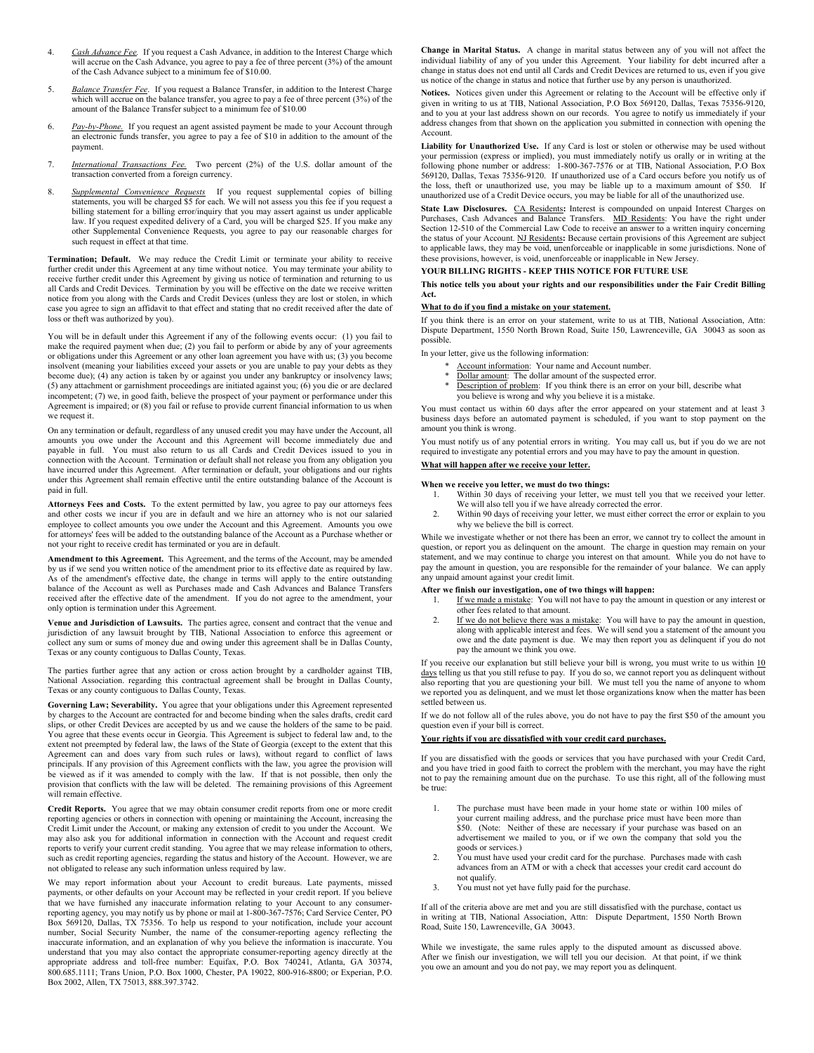- 4. *Cash Advance Fee.* If you request a Cash Advance, in addition to the Interest Charge which will accrue on the Cash Advance, you agree to pay a fee of three percent (3%) of the amount of the Cash Advance subject to a minimum fee of \$10.00.
- 5. *Balance Transfer Fee*. If you request a Balance Transfer, in addition to the Interest Charge which will accrue on the balance transfer, you agree to pay a fee of three percent (3%) of the amount of the Balance Transfer subject to a minimum fee of \$10.00
- 6. *Pay-by-Phone.* If you request an agent assisted payment be made to your Account through an electronic funds transfer, you agree to pay a fee of \$10 in addition to the amount of the payment.
- 7. *International Transactions Fee.* Two percent (2%) of the U.S. dollar amount of the transaction converted from a foreign currency.
- 8. *Supplemental Convenience Requests* If you request supplemental copies of billing statements, you will be charged \$5 for each. We will not assess you this fee if you request a billing statement for a billing error/inquiry that you may assert against us under applicable law. If you request expedited delivery of a Card, you will be charged \$25. If you make any other Supplemental Convenience Requests, you agree to pay our reasonable charges for such request in effect at that time.

**Termination; Default.** We may reduce the Credit Limit or terminate your ability to receive further credit under this Agreement at any time without notice. You may terminate your ability to receive further credit under this Agreement by giving us notice of termination and returning to us all Cards and Credit Devices. Termination by you will be effective on the date we receive written notice from you along with the Cards and Credit Devices (unless they are lost or stolen, in which case you agree to sign an affidavit to that effect and stating that no credit received after the date of loss or theft was authorized by you).

You will be in default under this Agreement if any of the following events occur: (1) you fail to make the required payment when due; (2) you fail to perform or abide by any of your agreements or obligations under this Agreement or any other loan agreement you have with us; (3) you become insolvent (meaning your liabilities exceed your assets or you are unable to pay your debts as they become due); (4) any action is taken by or against you under any bankruptcy or insolvency laws; (5) any attachment or garnishment proceedings are initiated against you; (6) you die or are declared incompetent; (7) we, in good faith, believe the prospect of your payment or performance under this Agreement is impaired; or (8) you fail or refuse to provide current financial information to us when we request it.

On any termination or default, regardless of any unused credit you may have under the Account, all amounts you owe under the Account and this Agreement will become immediately due and payable in full. You must also return to us all Cards and Credit Devices issued to you in connection with the Account. Termination or default shall not release you from any obligation you have incurred under this Agreement. After termination or default, your obligations and our rights under this Agreement shall remain effective until the entire outstanding balance of the Account is paid in full.

**Attorneys Fees and Costs.** To the extent permitted by law, you agree to pay our attorneys fees and other costs we incur if you are in default and we hire an attorney who is not our salaried employee to collect amounts you owe under the Account and this Agreement. Amounts you owe for attorneys' fees will be added to the outstanding balance of the Account as a Purchase whether or not your right to receive credit has terminated or you are in default.

**Amendment to this Agreement.** This Agreement, and the terms of the Account, may be amended by us if we send you written notice of the amendment prior to its effective date as required by law. As of the amendment's effective date, the change in terms will apply to the entire outstanding balance of the Account as well as Purchases made and Cash Advances and Balance Transfers received after the effective date of the amendment. If you do not agree to the amendment, your only option is termination under this Agreement.

**Venue and Jurisdiction of Lawsuits.** The parties agree, consent and contract that the venue and jurisdiction of any lawsuit brought by TIB, National Association to enforce this agreement or collect any sum or sums of money due and owing under this agreement shall be in Dallas County, Texas or any county contiguous to Dallas County, Texas.

The parties further agree that any action or cross action brought by a cardholder against TIB, National Association. regarding this contractual agreement shall be brought in Dallas County, Texas or any county contiguous to Dallas County, Texas.

**Governing Law; Severability.** You agree that your obligations under this Agreement represented by charges to the Account are contracted for and become binding when the sales drafts, credit card slips, or other Credit Devices are accepted by us and we cause the holders of the same to be paid. You agree that these events occur in Georgia. This Agreement is subject to federal law and, to the extent not preempted by federal law, the laws of the State of Georgia (except to the extent that this Agreement can and does vary from such rules or laws), without regard to conflict of laws principals. If any provision of this Agreement conflicts with the law, you agree the provision will be viewed as if it was amended to comply with the law. If that is not possible, then only the provision that conflicts with the law will be deleted. The remaining provisions of this Agreement will remain effective.

**Credit Reports.** You agree that we may obtain consumer credit reports from one or more credit reporting agencies or others in connection with opening or maintaining the Account, increasing the Credit Limit under the Account, or making any extension of credit to you under the Account. We may also ask you for additional information in connection with the Account and request credit reports to verify your current credit standing. You agree that we may release information to others, such as credit reporting agencies, regarding the status and history of the Account. However, we are not obligated to release any such information unless required by law.

We may report information about your Account to credit bureaus. Late payments, missed payments, or other defaults on your Account may be reflected in your credit report. If you believe that we have furnished any inaccurate information relating to your Account to any consumerreporting agency, you may notify us by phone or mail at 1-800-367-7576; Card Service Center, PO Box 569120, Dallas, TX 75356. To help us respond to your notification, include your account number, Social Security Number, the name of the consumer-reporting agency reflecting the inaccurate information, and an explanation of why you believe the information is inaccurate. You understand that you may also contact the appropriate consumer-reporting agency directly at the appropriate address and toll-free number: Equifax, P.O. Box 740241, Atlanta, GA 30374, 800.685.1111; Trans Union, P.O. Box 1000, Chester, PA 19022, 800-916-8800; or Experian, P.O. Box 2002, Allen, TX 75013, 888.397.3742.

**Change in Marital Status.** A change in marital status between any of you will not affect the individual liability of any of you under this Agreement. Your liability for debt incurred after a change in status does not end until all Cards and Credit Devices are returned to us, even if you give us notice of the change in status and notice that further use by any person is unauthorized.

**Notices.** Notices given under this Agreement or relating to the Account will be effective only if given in writing to us at TIB, National Association, P.O Box 569120, Dallas, Texas 75356-9120, and to you at your last address shown on our records. You agree to notify us immediately if your address changes from that shown on the application you submitted in connection with opening the Account.

**Liability for Unauthorized Use.** If any Card is lost or stolen or otherwise may be used without your permission (express or implied), you must immediately notify us orally or in writing at the following phone number or address: 1-800-367-7576 or at TIB, National Association, P.O Box 569120, Dallas, Texas 75356-9120. If unauthorized use of a Card occurs before you notify us of the loss, theft or unauthorized use, you may be liable up to a maximum amount of \$50. If unauthorized use of a Credit Device occurs, you may be liable for all of the unauthorized use.

State Law Disclosures. CA Residents: Interest is compounded on unpaid Interest Charges on Purchases, Cash Advances and Balance Transfers. MD Residents: You have the right under Section 12-510 of the Commercial Law Code to the status of your Account. NJ Residents**:** Because certain provisions of this Agreement are subject to applicable laws, they may be void, unenforceable or inapplicable in some jurisdictions. None of these provisions, however, is void, unenforceable or inapplicable in New Jersey.

### **YOUR BILLING RIGHTS - KEEP THIS NOTICE FOR FUTURE USE**

**This notice tells you about your rights and our responsibilities under the Fair Credit Billing Act.**

#### **What to do if you find a mistake on your statement.**

If you think there is an error on your statement, write to us at TIB, National Association, Attn: Dispute Department, 1550 North Brown Road, Suite 150, Lawrenceville, GA 30043 as soon as possible.

In your letter, give us the following information:

- Account information: Your name and Account number.
- Dollar amount: The dollar amount of the suspected error.
- Description of problem: If you think there is an error on your bill, describe what you believe is wrong and why you believe it is a mistake.

You must contact us within 60 days after the error appeared on your statement and at least 3 business days before an automated payment is scheduled, if you want to stop payment on the amount you think is wrong.

You must notify us of any potential errors in writing. You may call us, but if you do we are not required to investigate any potential errors and you may have to pay the amount in question.

# **What will happen after we receive your letter.**

# **When we receive you letter, we must do two things:**<br>1. Within 30 days of receiving your letter, we

- Within 30 days of receiving your letter, we must tell you that we received your letter. We will also tell you if we have already corrected the error.
- 2. Within 90 days of receiving your letter, we must either correct the error or explain to you why we believe the bill is correct.

While we investigate whether or not there has been an error, we cannot try to collect the amount in question, or report you as delinquent on the amount. The charge in question may remain on your statement, and we may continue to charge you interest on that amount. While you do not have to pay the amount in question, you are responsible for the remainder of your balance. We can apply any unpaid amount against your credit limit.

#### **After we finish our investigation, one of two things will happen:**

- 1. If we made a mistake: You will not have to pay the amount in question or any interest or other fees related to that amount.
- 2. If we do not believe there was a mistake: You will have to pay the amount in question, along with applicable interest and fees. We will send you a statement of the amount you owe and the date payment is due. We may then report you as delinquent if you do not pay the amount we think you owe.

If you receive our explanation but still believe your bill is wrong, you must write to us within 10 days telling us that you still refuse to pay. If you do so, we cannot report you as delinquent without also reporting that you are questioning your bill. We must tell you the name of anyone to whom we reported you as delinquent, and we must let those organizations know when the matter has been settled between us.

If we do not follow all of the rules above, you do not have to pay the first \$50 of the amount you question even if your bill is correct.

### **Your rights if you are dissatisfied with your credit card purchases.**

If you are dissatisfied with the goods or services that you have purchased with your Credit Card, and you have tried in good faith to correct the problem with the merchant, you may have the right not to pay the remaining amount due on the purchase. To use this right, all of the following must be true:

- 1. The purchase must have been made in your home state or within 100 miles of your current mailing address, and the purchase price must have been more than \$50. (Note: Neither of these are necessary if your purchase was based on an advertisement we mailed to you, or if we own the company that sold you the goods or services.)
- 2. You must have used your credit card for the purchase. Purchases made with cash advances from an ATM or with a check that accesses your credit card account do not qualify.
- 3. You must not yet have fully paid for the purchase.

If all of the criteria above are met and you are still dissatisfied with the purchase, contact us in writing at TIB, National Association, Attn: Dispute Department, 1550 North Brown Road, Suite 150, Lawrenceville, GA 30043.

While we investigate, the same rules apply to the disputed amount as discussed above. After we finish our investigation, we will tell you our decision. At that point, if we think you owe an amount and you do not pay, we may report you as delinquent.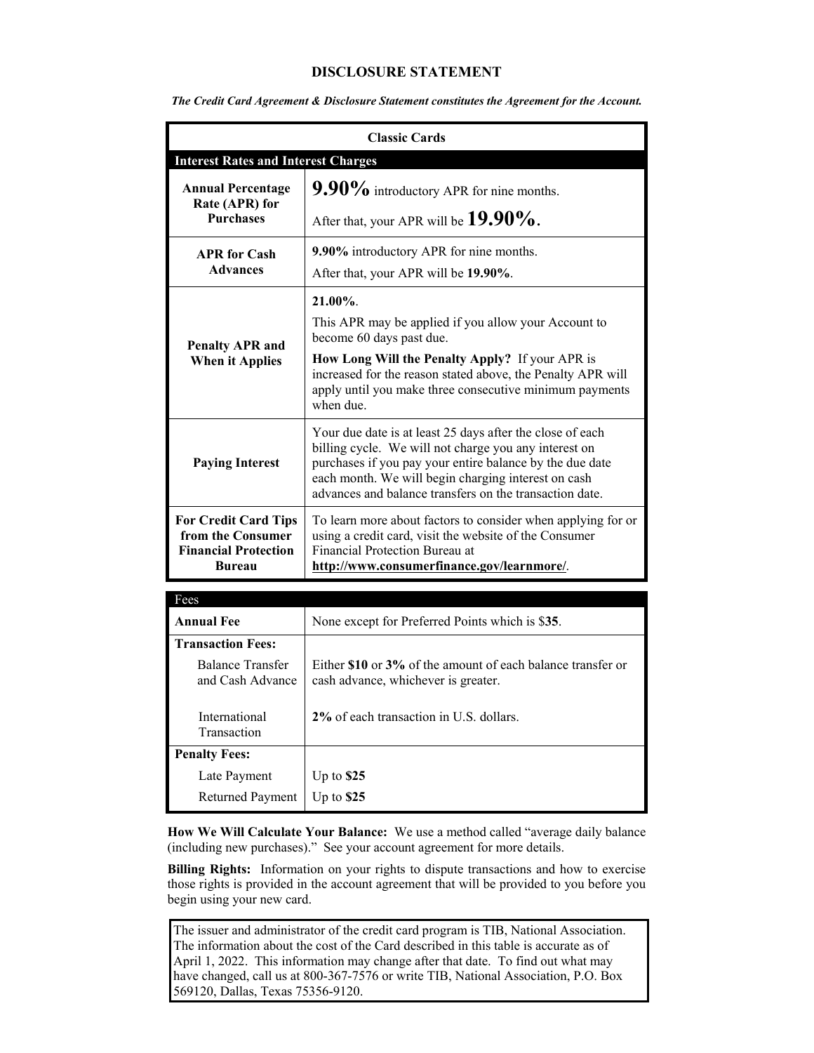## **DISCLOSURE STATEMENT**

| <b>Classic Cards</b>                                                                             |                                                                                                                                                                                                                                                                                                  |
|--------------------------------------------------------------------------------------------------|--------------------------------------------------------------------------------------------------------------------------------------------------------------------------------------------------------------------------------------------------------------------------------------------------|
| <b>Interest Rates and Interest Charges</b>                                                       |                                                                                                                                                                                                                                                                                                  |
| <b>Annual Percentage</b><br>Rate (APR) for<br><b>Purchases</b>                                   | $9.90\%$ introductory APR for nine months.                                                                                                                                                                                                                                                       |
|                                                                                                  | After that, your APR will be $19.90\%$ .                                                                                                                                                                                                                                                         |
| <b>APR</b> for Cash<br><b>Advances</b>                                                           | 9.90% introductory APR for nine months.                                                                                                                                                                                                                                                          |
|                                                                                                  | After that, your APR will be 19.90%.                                                                                                                                                                                                                                                             |
| <b>Penalty APR and</b><br><b>When it Applies</b>                                                 | 21.00%.                                                                                                                                                                                                                                                                                          |
|                                                                                                  | This APR may be applied if you allow your Account to<br>become 60 days past due.                                                                                                                                                                                                                 |
|                                                                                                  | How Long Will the Penalty Apply? If your APR is<br>increased for the reason stated above, the Penalty APR will<br>apply until you make three consecutive minimum payments<br>when due.                                                                                                           |
| <b>Paying Interest</b>                                                                           | Your due date is at least 25 days after the close of each<br>billing cycle. We will not charge you any interest on<br>purchases if you pay your entire balance by the due date<br>each month. We will begin charging interest on cash<br>advances and balance transfers on the transaction date. |
| <b>For Credit Card Tips</b><br>from the Consumer<br><b>Financial Protection</b><br><b>Bureau</b> | To learn more about factors to consider when applying for or<br>using a credit card, visit the website of the Consumer<br>Financial Protection Bureau at<br>http://www.consumerfinance.gov/learnmore/.                                                                                           |
| Fees                                                                                             |                                                                                                                                                                                                                                                                                                  |
| <b>Annual Fee</b>                                                                                | None except for Preferred Points which is \$35.                                                                                                                                                                                                                                                  |
| <b>Transaction Fees:</b>                                                                         |                                                                                                                                                                                                                                                                                                  |
| <b>Balance Transfer</b><br>and Cash Advance                                                      | Either \$10 or 3% of the amount of each balance transfer or<br>cash advance, whichever is greater.                                                                                                                                                                                               |
| International<br>Transaction                                                                     | 2% of each transaction in U.S. dollars.                                                                                                                                                                                                                                                          |
| <b>Penalty Fees:</b>                                                                             |                                                                                                                                                                                                                                                                                                  |
| Late Payment                                                                                     | Up to $$25$                                                                                                                                                                                                                                                                                      |
| <b>Returned Payment</b>                                                                          | Up to $$25$                                                                                                                                                                                                                                                                                      |

*The Credit Card Agreement & Disclosure Statement constitutes the Agreement for the Account.*

**How We Will Calculate Your Balance:** We use a method called "average daily balance (including new purchases)." See your account agreement for more details.

**Billing Rights:** Information on your rights to dispute transactions and how to exercise those rights is provided in the account agreement that will be provided to you before you begin using your new card.

The issuer and administrator of the credit card program is TIB, National Association. The information about the cost of the Card described in this table is accurate as of April 1, 2022. This information may change after that date. To find out what may have changed, call us at 800-367-7576 or write TIB, National Association, P.O. Box 569120, Dallas, Texas 75356-9120.